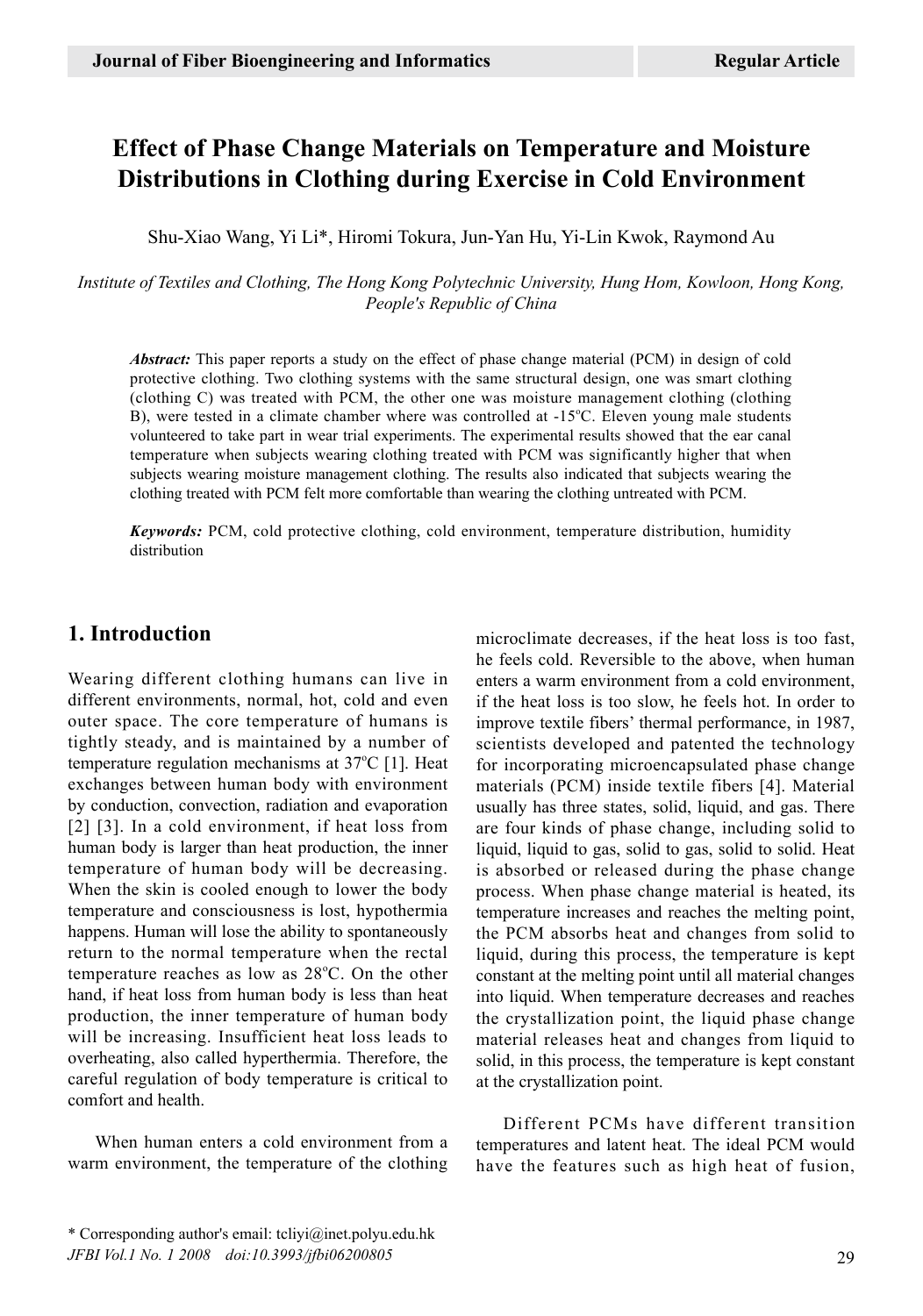# **Effect of Phase Change Materials on Temperature and Moisture Distributions in Clothing during Exercise in Cold Environment**

Shu-Xiao Wang, Yi Li\*, Hiromi Tokura, Jun-Yan Hu, Yi-Lin Kwok, Raymond Au

*Institute of Textiles and Clothing, The Hong Kong Polytechnic University, Hung Hom, Kowloon, Hong Kong, People's Republic of China*

*Abstract:* This paper reports a study on the effect of phase change material (PCM) in design of cold protective clothing. Two clothing systems with the same structural design, one was smart clothing (clothing C) was treated with PCM, the other one was moisture management clothing (clothing B), were tested in a climate chamber where was controlled at -15°C. Eleven young male students volunteered to take part in wear trial experiments. The experimental results showed that the ear canal temperature when subjects wearing clothing treated with PCM was significantly higher that when subjects wearing moisture management clothing. The results also indicated that subjects wearing the clothing treated with PCM felt more comfortable than wearing the clothing untreated with PCM.

*Keywords:* PCM, cold protective clothing, cold environment, temperature distribution, humidity distribution

### **1. Introduction**

Wearing different clothing humans can live in different environments, normal, hot, cold and even outer space. The core temperature of humans is tightly steady, and is maintained by a number of temperature regulation mechanisms at  $37^{\circ}$ C [1]. Heat exchanges between human body with environment by conduction, convection, radiation and evaporation [2] [3]. In a cold environment, if heat loss from human body is larger than heat production, the inner temperature of human body will be decreasing. When the skin is cooled enough to lower the body temperature and consciousness is lost, hypothermia happens. Human will lose the ability to spontaneously return to the normal temperature when the rectal temperature reaches as low as 28°C. On the other hand, if heat loss from human body is less than heat production, the inner temperature of human body will be increasing. Insufficient heat loss leads to overheating, also called hyperthermia. Therefore, the careful regulation of body temperature is critical to comfort and health.

When human enters a cold environment from a warm environment, the temperature of the clothing microclimate decreases, if the heat loss is too fast, he feels cold. Reversible to the above, when human enters a warm environment from a cold environment, if the heat loss is too slow, he feels hot. In order to improve textile fibers' thermal performance, in 1987, scientists developed and patented the technology for incorporating microencapsulated phase change materials (PCM) inside textile fibers [4]. Material usually has three states, solid, liquid, and gas. There are four kinds of phase change, including solid to liquid, liquid to gas, solid to gas, solid to solid. Heat is absorbed or released during the phase change process. When phase change material is heated, its temperature increases and reaches the melting point, the PCM absorbs heat and changes from solid to liquid, during this process, the temperature is kept constant at the melting point until all material changes into liquid. When temperature decreases and reaches the crystallization point, the liquid phase change material releases heat and changes from liquid to solid, in this process, the temperature is kept constant at the crystallization point.

Different PCMs have different transition temperatures and latent heat. The ideal PCM would have the features such as high heat of fusion,